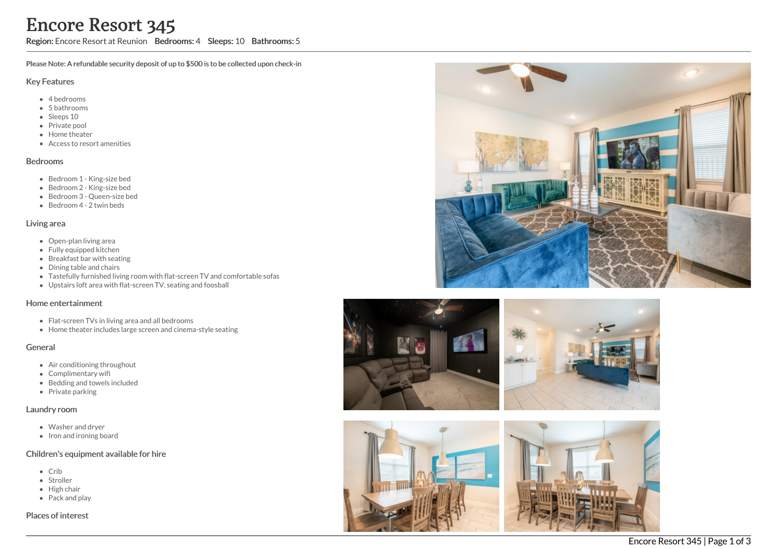Region: Encore Resort at Reunion Bedrooms: 4 Sleeps: 10 Bathrooms: 5

Please Note: A refundable security deposit of up to \$500 is to be collected upon check-in

### Key Features

- 4 b e d r o o m s
- 5 bathrooms
- Sleeps 10
- Private pool
- Home theat e r
- Access to resort amenities

### **Bedrooms**

- Bedroom 1 King-size bed
- Bedroom 2 King-size bed
- Bedroom 3 Queen-size bed
- Bedroom 4 2 twin beds

### Living area

- Open-plan living area
- Fully equipped kitchen
- Breakfast bar with seating
- Dining table and chairs
- Tastefully furnished living room with flat-screen TV and comfortable sofas
- Upstairs loft area with flat-screen TV, seating and foosball

# Home entertainment

- Flat-screen TVs in living area and all bedrooms
- Home theater includes large screen and cinema-style seatin g

## General

- Air conditioning throughout
- Complimentary wifi
- Bedding and towels included
- Private parking

## Laundry room

- Washer and dryer
- Iron and ironing board

## Children's equipment available for hire

- C rib
- Stroller
- Hig h c h air
- Pack and play

Places of interest







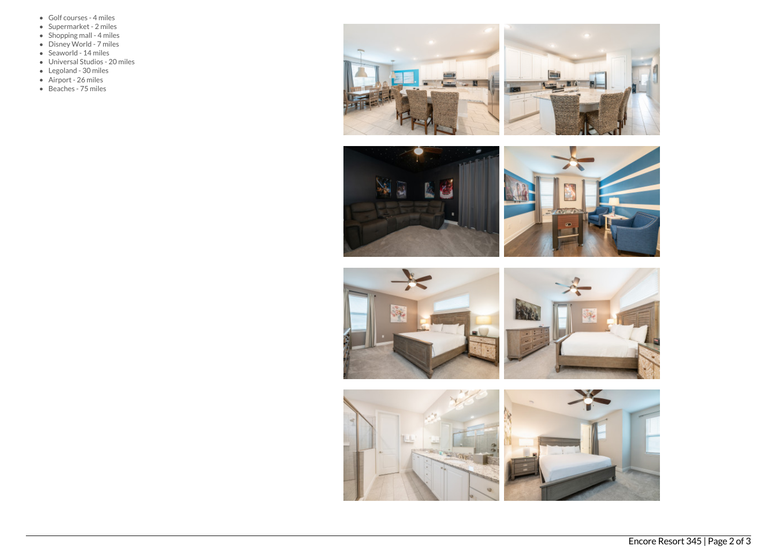- Golf courses 4 miles
- Supermarket 2 miles
- $\bullet$  Shopping mall 4 miles
- Disney World 7 miles
- Seaworld 14 miles
- Universal Studios 20 miles
- Legoland 30 miles
- Airport 26 miles
- Beaches 75 miles